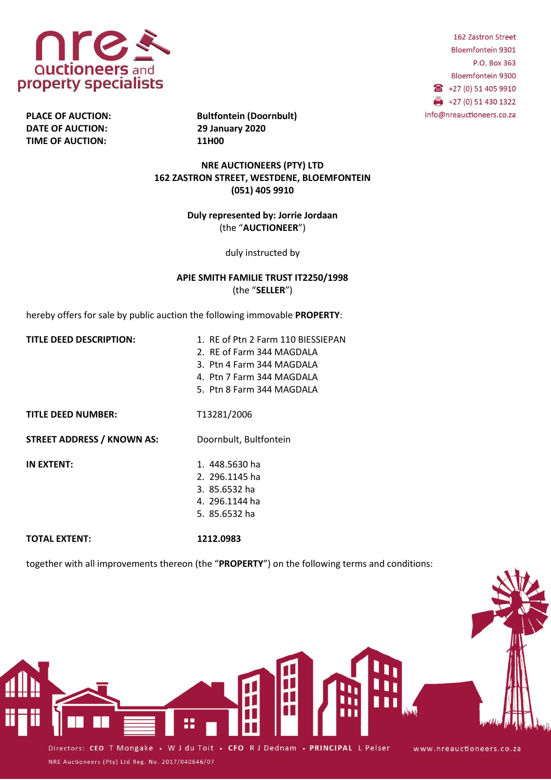

**DATE OF AUCTION: 29 January 2020 TIME OF AUCTION: 11H00**

PLACE OF AUCTION: Bultfontein (Doornbult)

**NRE AUCTIONEERS (PTY) LTD 162 ZASTRON STREET, WESTDENE, BLOEMFONTEIN (051) 405 9910**

> **Duly represented by: Jorrie Jordaan** (the "**AUCTIONEER**")

> > duly instructed by

## **APIE SMITH FAMILIE TRUST IT2250/1998** (the "**SELLER**")

hereby offers for sale by public auction the following immovable **PROPERTY**:

- **TITLE DEED DESCRIPTION:** 1. RE of Ptn 2 Farm 110 BIESSIEPAN 2. RE of Farm 344 MAGDALA 3. Ptn 4 Farm 344 MAGDALA 4. Ptn 7 Farm 344 MAGDALA
	- 5. Ptn 8 Farm 344 MAGDALA

**TITLE DEED NUMBER:** T13281/2006

**STREET ADDRESS / KNOWN AS:** Doornbult, Bultfontein

NRE Auctioneers (Pty) Ltd Reg. No. 2017/040646/07

**IN EXTENT:** 1. 448.5630 ha

- 2. 296.1145 ha
- 3. 85.6532 ha
- 4. 296.1144 ha
- 5. 85.6532 ha

**TOTAL EXTENT: 1212.0983**

together with all improvements thereon (the "**PROPERTY**") on the following terms and conditions:



162 Zastron Street Bloemfontein 9301 P.O. Box 363 Bloemfontein 9300 405 9910  $+27(0) 51 430 1322$ info@nreauctioneers.co.za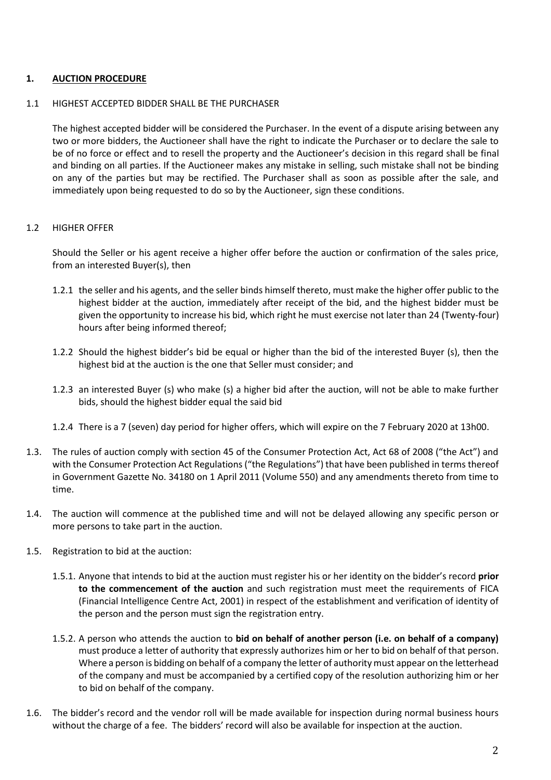## **1. AUCTION PROCEDURE**

### 1.1 HIGHEST ACCEPTED BIDDER SHALL BE THE PURCHASER

The highest accepted bidder will be considered the Purchaser. In the event of a dispute arising between any two or more bidders, the Auctioneer shall have the right to indicate the Purchaser or to declare the sale to be of no force or effect and to resell the property and the Auctioneer's decision in this regard shall be final and binding on all parties. If the Auctioneer makes any mistake in selling, such mistake shall not be binding on any of the parties but may be rectified. The Purchaser shall as soon as possible after the sale, and immediately upon being requested to do so by the Auctioneer, sign these conditions.

## 1.2 HIGHER OFFER

Should the Seller or his agent receive a higher offer before the auction or confirmation of the sales price, from an interested Buyer(s), then

- 1.2.1 the seller and his agents, and the seller binds himself thereto, must make the higher offer public to the highest bidder at the auction, immediately after receipt of the bid, and the highest bidder must be given the opportunity to increase his bid, which right he must exercise not later than 24 (Twenty-four) hours after being informed thereof;
- 1.2.2 Should the highest bidder's bid be equal or higher than the bid of the interested Buyer (s), then the highest bid at the auction is the one that Seller must consider; and
- 1.2.3 an interested Buyer (s) who make (s) a higher bid after the auction, will not be able to make further bids, should the highest bidder equal the said bid
- 1.2.4 There is a 7 (seven) day period for higher offers, which will expire on the 7 February 2020 at 13h00.
- 1.3. The rules of auction comply with section 45 of the Consumer Protection Act, Act 68 of 2008 ("the Act") and with the Consumer Protection Act Regulations ("the Regulations") that have been published in terms thereof in Government Gazette No. 34180 on 1 April 2011 (Volume 550) and any amendments thereto from time to time.
- 1.4. The auction will commence at the published time and will not be delayed allowing any specific person or more persons to take part in the auction.
- 1.5. Registration to bid at the auction:
	- 1.5.1. Anyone that intends to bid at the auction must register his or her identity on the bidder's record **prior to the commencement of the auction** and such registration must meet the requirements of FICA (Financial Intelligence Centre Act, 2001) in respect of the establishment and verification of identity of the person and the person must sign the registration entry.
	- 1.5.2. A person who attends the auction to **bid on behalf of another person (i.e. on behalf of a company)** must produce a letter of authority that expressly authorizes him or her to bid on behalf of that person. Where a person is bidding on behalf of a company the letter of authority must appear on the letterhead of the company and must be accompanied by a certified copy of the resolution authorizing him or her to bid on behalf of the company.
- 1.6. The bidder's record and the vendor roll will be made available for inspection during normal business hours without the charge of a fee. The bidders' record will also be available for inspection at the auction.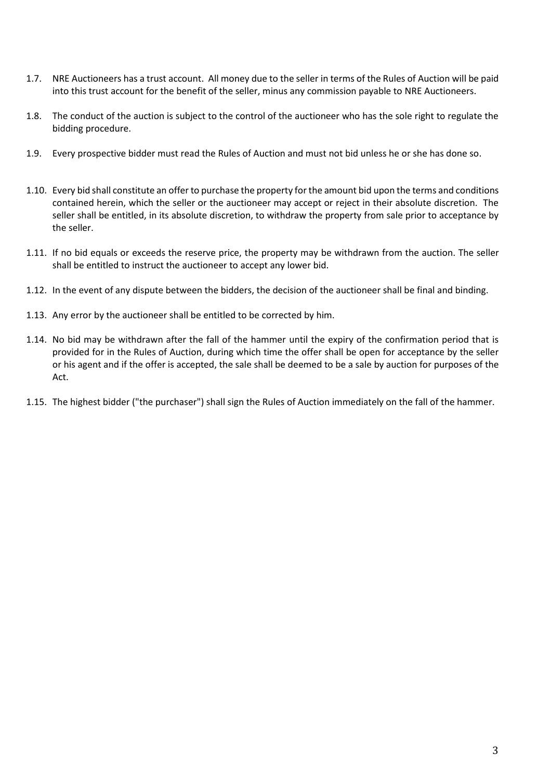- 1.7. NRE Auctioneers has a trust account. All money due to the seller in terms of the Rules of Auction will be paid into this trust account for the benefit of the seller, minus any commission payable to NRE Auctioneers.
- 1.8. The conduct of the auction is subject to the control of the auctioneer who has the sole right to regulate the bidding procedure.
- 1.9. Every prospective bidder must read the Rules of Auction and must not bid unless he or she has done so.
- 1.10. Every bid shall constitute an offer to purchase the property for the amount bid upon the terms and conditions contained herein, which the seller or the auctioneer may accept or reject in their absolute discretion. The seller shall be entitled, in its absolute discretion, to withdraw the property from sale prior to acceptance by the seller.
- 1.11. If no bid equals or exceeds the reserve price, the property may be withdrawn from the auction. The seller shall be entitled to instruct the auctioneer to accept any lower bid.
- 1.12. In the event of any dispute between the bidders, the decision of the auctioneer shall be final and binding.
- 1.13. Any error by the auctioneer shall be entitled to be corrected by him.
- 1.14. No bid may be withdrawn after the fall of the hammer until the expiry of the confirmation period that is provided for in the Rules of Auction, during which time the offer shall be open for acceptance by the seller or his agent and if the offer is accepted, the sale shall be deemed to be a sale by auction for purposes of the Act.
- 1.15. The highest bidder ("the purchaser") shall sign the Rules of Auction immediately on the fall of the hammer.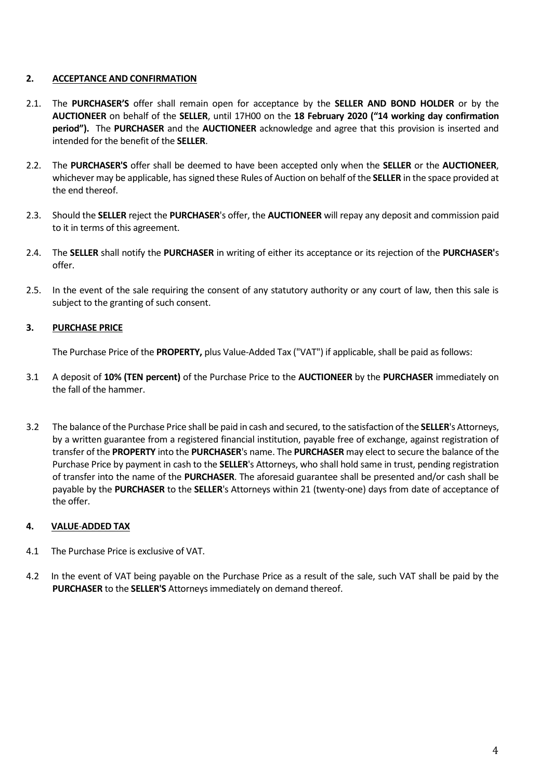## **2. ACCEPTANCE AND CONFIRMATION**

- 2.1. The **PURCHASER'S** offer shall remain open for acceptance by the **SELLER AND BOND HOLDER** or by the **AUCTIONEER** on behalf of the **SELLER**, until 17H00 on the **18 February 2020 ("14 working day confirmation period").** The **PURCHASER** and the **AUCTIONEER** acknowledge and agree that this provision is inserted and intended for the benefit of the **SELLER**.
- 2.2. The **PURCHASER'S** offer shall be deemed to have been accepted only when the **SELLER** or the **AUCTIONEER**, whichever may be applicable, has signed these Rules of Auction on behalf of the **SELLER** in the space provided at the end thereof.
- 2.3. Should the **SELLER** reject the **PURCHASER**'s offer, the **AUCTIONEER** will repay any deposit and commission paid to it in terms of this agreement.
- 2.4. The **SELLER** shall notify the **PURCHASER** in writing of either its acceptance or its rejection of the **PURCHASER'**s offer.
- 2.5. In the event of the sale requiring the consent of any statutory authority or any court of law, then this sale is subject to the granting of such consent.

## **3. PURCHASE PRICE**

The Purchase Price of the **PROPERTY,** plus Value-Added Tax ("VAT") if applicable, shall be paid as follows:

- 3.1 A deposit of **10% (TEN percent)** of the Purchase Price to the **AUCTIONEER** by the **PURCHASER** immediately on the fall of the hammer.
- 3.2 The balance of the Purchase Price shall be paid in cash and secured, to the satisfaction of the **SELLER**'s Attorneys, by a written guarantee from a registered financial institution, payable free of exchange, against registration of transfer of the **PROPERTY** into the **PURCHASER**'s name. The **PURCHASER** may elect to secure the balance of the Purchase Price by payment in cash to the **SELLER**'s Attorneys, who shall hold same in trust, pending registration of transfer into the name of the **PURCHASER**. The aforesaid guarantee shall be presented and/or cash shall be payable by the **PURCHASER** to the **SELLER**'s Attorneys within 21 (twenty-one) days from date of acceptance of the offer.

## **4. VALUE**-**ADDED TAX**

- 4.1 The Purchase Price is exclusive of VAT.
- 4.2 In the event of VAT being payable on the Purchase Price as a result of the sale, such VAT shall be paid by the **PURCHASER** to the **SELLER'S** Attorneys immediately on demand thereof.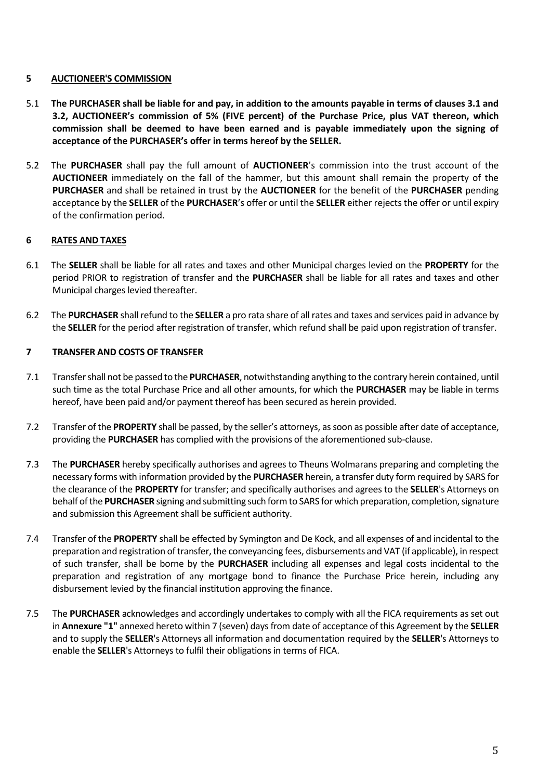## **5 AUCTIONEER'S COMMISSION**

- 5.1 **The PURCHASER shall be liable for and pay, in addition to the amounts payable in terms of clauses 3.1 and 3.2, AUCTIONEER's commission of 5% (FIVE percent) of the Purchase Price, plus VAT thereon, which commission shall be deemed to have been earned and is payable immediately upon the signing of acceptance of the PURCHASER's offer in terms hereof by the SELLER.**
- 5.2 The **PURCHASER** shall pay the full amount of **AUCTIONEER**'s commission into the trust account of the **AUCTIONEER** immediately on the fall of the hammer, but this amount shall remain the property of the **PURCHASER** and shall be retained in trust by the **AUCTIONEER** for the benefit of the **PURCHASER** pending acceptance by the **SELLER** of the **PURCHASER**'s offer or until the **SELLER** either rejects the offer or until expiry of the confirmation period.

## **6 RATES AND TAXES**

- 6.1 The **SELLER** shall be liable for all rates and taxes and other Municipal charges levied on the **PROPERTY** for the period PRIOR to registration of transfer and the **PURCHASER** shall be liable for all rates and taxes and other Municipal charges levied thereafter.
- 6.2 The **PURCHASER** shall refund to the **SELLER** a pro rata share of all rates and taxes and services paid in advance by the **SELLER** for the period after registration of transfer, which refund shall be paid upon registration of transfer.

## **7 TRANSFER AND COSTS OF TRANSFER**

- 7.1 Transfer shall not be passed to the **PURCHASER**, notwithstanding anything to the contrary herein contained, until such time as the total Purchase Price and all other amounts, for which the **PURCHASER** may be liable in terms hereof, have been paid and/or payment thereof has been secured as herein provided.
- 7.2 Transfer of the **PROPERTY** shall be passed, by the seller's attorneys, as soon as possible after date of acceptance, providing the **PURCHASER** has complied with the provisions of the aforementioned sub-clause.
- 7.3 The **PURCHASER** hereby specifically authorises and agrees to Theuns Wolmarans preparing and completing the necessary forms with information provided by the **PURCHASER** herein, a transfer duty form required by SARS for the clearance of the **PROPERTY** for transfer; and specifically authorises and agrees to the **SELLER**'s Attorneys on behalf of the **PURCHASER** signing and submitting such form to SARS for which preparation, completion, signature and submission this Agreement shall be sufficient authority.
- 7.4 Transfer of the **PROPERTY** shall be effected by Symington and De Kock, and all expenses of and incidental to the preparation and registration of transfer, the conveyancing fees, disbursements and VAT (if applicable), in respect of such transfer, shall be borne by the **PURCHASER** including all expenses and legal costs incidental to the preparation and registration of any mortgage bond to finance the Purchase Price herein, including any disbursement levied by the financial institution approving the finance.
- 7.5 The **PURCHASER** acknowledges and accordingly undertakes to comply with all the FICA requirements as set out in **Annexure "1"** annexed hereto within 7 (seven) days from date of acceptance of this Agreement by the **SELLER** and to supply the **SELLER**'s Attorneys all information and documentation required by the **SELLER**'s Attorneys to enable the **SELLER**'s Attorneys to fulfil their obligations in terms of FICA.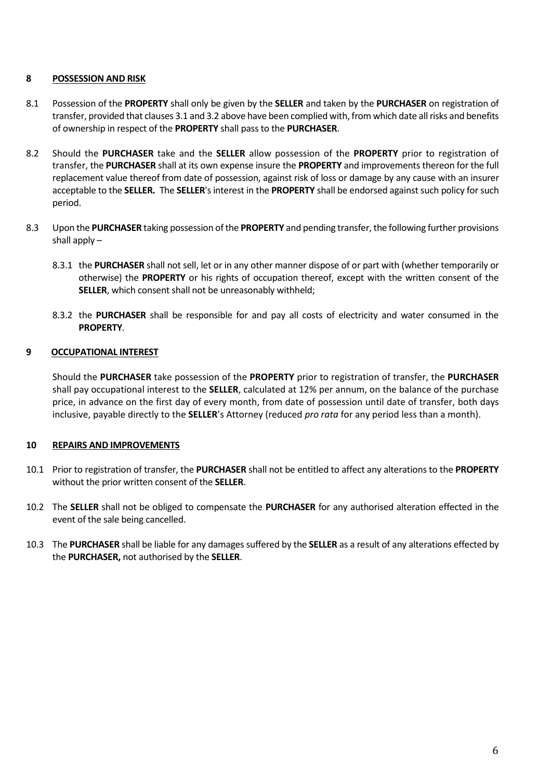## **8 POSSESSION AND RISK**

- 8.1 Possession of the **PROPERTY** shall only be given by the **SELLER** and taken by the **PURCHASER** on registration of transfer, provided that clauses 3.1 and 3.2 above have been complied with, from which date all risks and benefits of ownership in respect of the **PROPERTY** shall pass to the **PURCHASER**.
- 8.2 Should the **PURCHASER** take and the **SELLER** allow possession of the **PROPERTY** prior to registration of transfer, the **PURCHASER** shall at its own expense insure the **PROPERTY** and improvements thereon for the full replacement value thereof from date of possession, against risk of loss or damage by any cause with an insurer acceptable to the **SELLER.** The **SELLER**'s interest in the **PROPERTY** shall be endorsed against such policy for such period.
- 8.3 Upon the **PURCHASER** taking possession of the **PROPERTY** and pending transfer, the following further provisions shall apply –
	- 8.3.1 the **PURCHASER** shall not sell, let or in any other manner dispose of or part with (whether temporarily or otherwise) the **PROPERTY** or his rights of occupation thereof, except with the written consent of the **SELLER**, which consent shall not be unreasonably withheld;
	- 8.3.2 the **PURCHASER** shall be responsible for and pay all costs of electricity and water consumed in the **PROPERTY**.

## **9 OCCUPATIONAL INTEREST**

Should the **PURCHASER** take possession of the **PROPERTY** prior to registration of transfer, the **PURCHASER** shall pay occupational interest to the **SELLER**, calculated at 12% per annum, on the balance of the purchase price, in advance on the first day of every month, from date of possession until date of transfer, both days inclusive, payable directly to the **SELLER**'s Attorney (reduced *pro rata* for any period less than a month).

## **10 REPAIRS AND IMPROVEMENTS**

- 10.1 Prior to registration of transfer, the **PURCHASER** shall not be entitled to affect any alterations to the **PROPERTY** without the prior written consent of the **SELLER**.
- 10.2 The **SELLER** shall not be obliged to compensate the **PURCHASER** for any authorised alteration effected in the event of the sale being cancelled.
- 10.3 The **PURCHASER** shall be liable for any damages suffered by the **SELLER** as a result of any alterations effected by the **PURCHASER,** not authorised by the **SELLER**.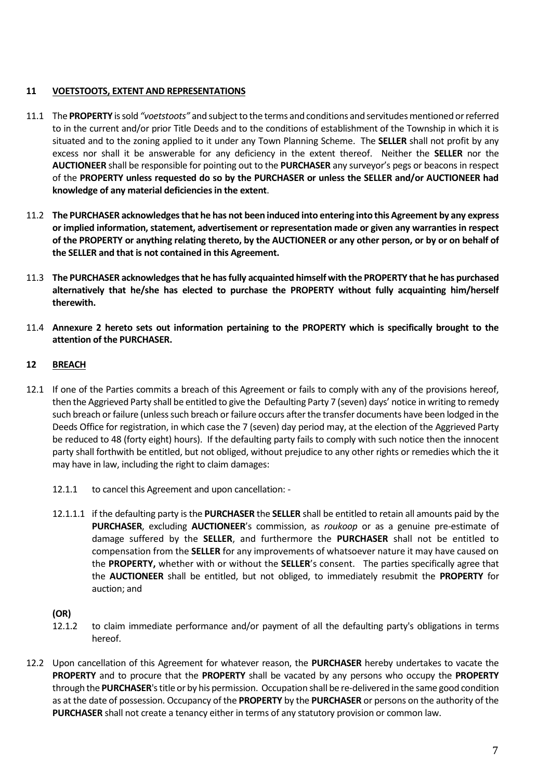## **11 VOETSTOOTS, EXTENT AND REPRESENTATIONS**

- 11.1 The **PROPERTY** is sold *"voetstoots"* and subject to the terms and conditions and servitudes mentioned or referred to in the current and/or prior Title Deeds and to the conditions of establishment of the Township in which it is situated and to the zoning applied to it under any Town Planning Scheme. The **SELLER** shall not profit by any excess nor shall it be answerable for any deficiency in the extent thereof. Neither the **SELLER** nor the **AUCTIONEER** shall be responsible for pointing out to the **PURCHASER** any surveyor's pegs or beacons in respect of the **PROPERTY unless requested do so by the PURCHASER or unless the SELLER and/or AUCTIONEER had knowledge of any material deficiencies in the extent**.
- 11.2 **The PURCHASER acknowledges that he has not been induced into entering into this Agreement by any express or implied information, statement, advertisement or representation made or given any warranties in respect of the PROPERTY or anything relating thereto, by the AUCTIONEER or any other person, or by or on behalf of the SELLER and that is not contained in this Agreement.**
- 11.3 **The PURCHASER acknowledges that he has fully acquainted himself with the PROPERTY that he has purchased alternatively that he/she has elected to purchase the PROPERTY without fully acquainting him/herself therewith.**
- 11.4 **Annexure 2 hereto sets out information pertaining to the PROPERTY which is specifically brought to the attention of the PURCHASER.**

## **12 BREACH**

- 12.1 If one of the Parties commits a breach of this Agreement or fails to comply with any of the provisions hereof, then the Aggrieved Party shall be entitled to give the Defaulting Party 7 (seven) days' notice in writing to remedy such breach or failure (unless such breach or failure occurs after the transfer documents have been lodged in the Deeds Office for registration, in which case the 7 (seven) day period may, at the election of the Aggrieved Party be reduced to 48 (forty eight) hours). If the defaulting party fails to comply with such notice then the innocent party shall forthwith be entitled, but not obliged, without prejudice to any other rights or remedies which the it may have in law, including the right to claim damages:
	- 12.1.1 to cancel this Agreement and upon cancellation: -
	- 12.1.1.1 if the defaulting party is the **PURCHASER** the **SELLER** shall be entitled to retain all amounts paid by the **PURCHASER**, excluding **AUCTIONEER**'s commission, as *roukoop* or as a genuine pre-estimate of damage suffered by the **SELLER**, and furthermore the **PURCHASER** shall not be entitled to compensation from the **SELLER** for any improvements of whatsoever nature it may have caused on the **PROPERTY,** whether with or without the **SELLER**'s consent. The parties specifically agree that the **AUCTIONEER** shall be entitled, but not obliged, to immediately resubmit the **PROPERTY** for auction; and

## **(OR)**

- 12.1.2 to claim immediate performance and/or payment of all the defaulting party's obligations in terms hereof.
- 12.2 Upon cancellation of this Agreement for whatever reason, the **PURCHASER** hereby undertakes to vacate the **PROPERTY** and to procure that the **PROPERTY** shall be vacated by any persons who occupy the **PROPERTY** through the **PURCHASER**'stitle or by his permission. Occupation shall be re-delivered in the same good condition as at the date of possession. Occupancy of the **PROPERTY** by the **PURCHASER** or persons on the authority of the **PURCHASER** shall not create a tenancy either in terms of any statutory provision or common law.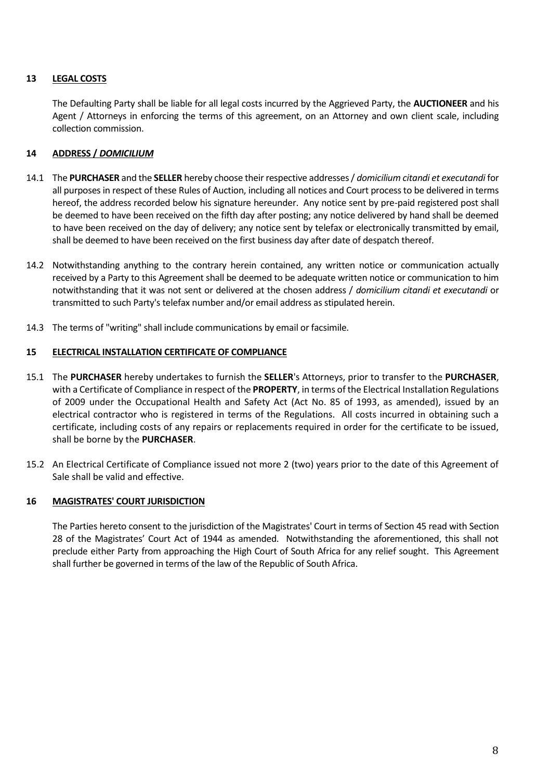## **13 LEGAL COSTS**

The Defaulting Party shall be liable for all legal costs incurred by the Aggrieved Party, the **AUCTIONEER** and his Agent / Attorneys in enforcing the terms of this agreement, on an Attorney and own client scale, including collection commission.

## **14 ADDRESS /** *DOMICILIUM*

- 14.1 The **PURCHASER** and the **SELLER** hereby choose their respective addresses / *domicilium citandi et executandi* for all purposes in respect of these Rules of Auction, including all notices and Court process to be delivered in terms hereof, the address recorded below his signature hereunder. Any notice sent by pre-paid registered post shall be deemed to have been received on the fifth day after posting; any notice delivered by hand shall be deemed to have been received on the day of delivery; any notice sent by telefax or electronically transmitted by email, shall be deemed to have been received on the first business day after date of despatch thereof.
- 14.2 Notwithstanding anything to the contrary herein contained, any written notice or communication actually received by a Party to this Agreement shall be deemed to be adequate written notice or communication to him notwithstanding that it was not sent or delivered at the chosen address / *domicilium citandi et executandi* or transmitted to such Party's telefax number and/or email address as stipulated herein.
- 14.3 The terms of "writing" shall include communications by email or facsimile.

## **15 ELECTRICAL INSTALLATION CERTIFICATE OF COMPLIANCE**

- 15.1 The **PURCHASER** hereby undertakes to furnish the **SELLER**'s Attorneys, prior to transfer to the **PURCHASER**, with a Certificate of Compliance in respect of the **PROPERTY**, in terms of the Electrical Installation Regulations of 2009 under the Occupational Health and Safety Act (Act No. 85 of 1993, as amended), issued by an electrical contractor who is registered in terms of the Regulations. All costs incurred in obtaining such a certificate, including costs of any repairs or replacements required in order for the certificate to be issued, shall be borne by the **PURCHASER**.
- 15.2 An Electrical Certificate of Compliance issued not more 2 (two) years prior to the date of this Agreement of Sale shall be valid and effective.

## **16 MAGISTRATES' COURT JURISDICTION**

The Parties hereto consent to the jurisdiction of the Magistrates' Court in terms of Section 45 read with Section 28 of the Magistrates' Court Act of 1944 as amended. Notwithstanding the aforementioned, this shall not preclude either Party from approaching the High Court of South Africa for any relief sought. This Agreement shall further be governed in terms of the law of the Republic of South Africa.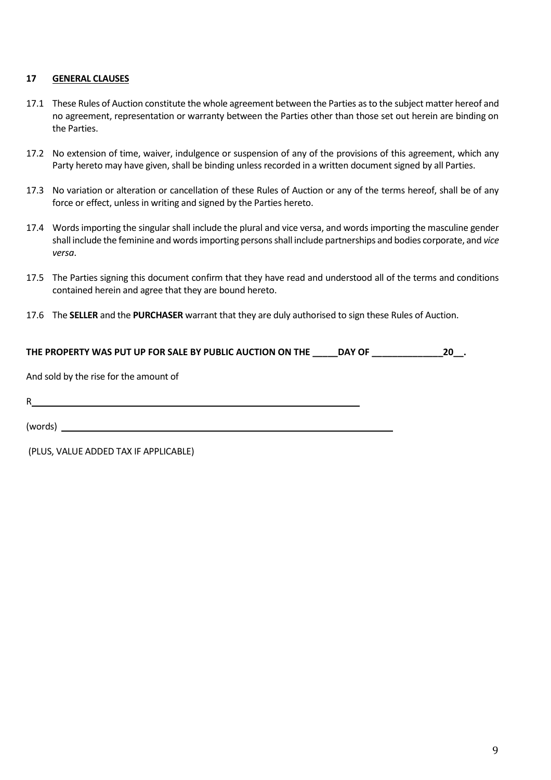## **17 GENERAL CLAUSES**

- 17.1 These Rules of Auction constitute the whole agreement between the Parties as to the subject matter hereof and no agreement, representation or warranty between the Parties other than those set out herein are binding on the Parties.
- 17.2 No extension of time, waiver, indulgence or suspension of any of the provisions of this agreement, which any Party hereto may have given, shall be binding unless recorded in a written document signed by all Parties.
- 17.3 No variation or alteration or cancellation of these Rules of Auction or any of the terms hereof, shall be of any force or effect, unless in writing and signed by the Parties hereto.
- 17.4 Words importing the singular shall include the plural and vice versa, and words importing the masculine gender shall include the feminine and words importing persons shall include partnerships and bodies corporate, and *vice versa*.
- 17.5 The Parties signing this document confirm that they have read and understood all of the terms and conditions contained herein and agree that they are bound hereto.
- 17.6 The **SELLER** and the **PURCHASER** warrant that they are duly authorised to sign these Rules of Auction.

| THE PROPERTY WAS PUT UP FOR SALE BY PUBLIC AUCTION ON THE DAY OF | 20. |
|------------------------------------------------------------------|-----|
| And sold by the rise for the amount of                           |     |
| R                                                                |     |
|                                                                  |     |
| (PLUS, VALUE ADDED TAX IF APPLICABLE)                            |     |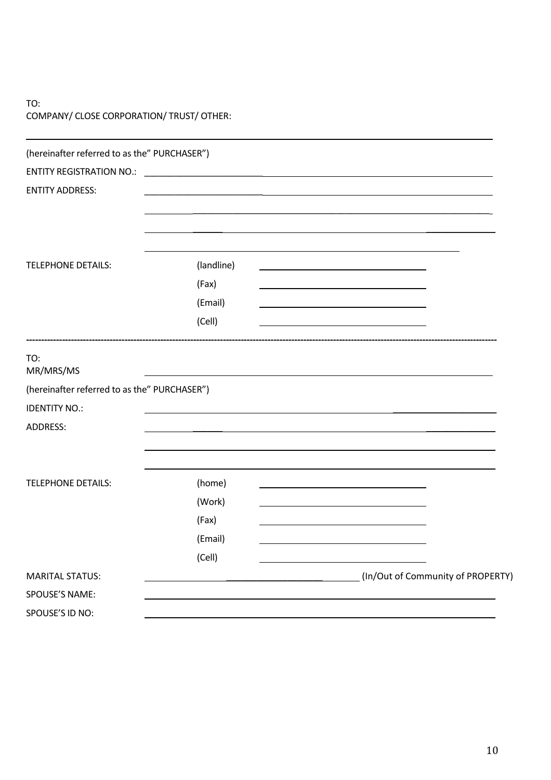# TO: COMPANY/ CLOSE CORPORATION/ TRUST/ OTHER:

| (hereinafter referred to as the" PURCHASER") |            |                                   |
|----------------------------------------------|------------|-----------------------------------|
| <b>ENTITY REGISTRATION NO.:</b>              |            |                                   |
| <b>ENTITY ADDRESS:</b>                       |            |                                   |
|                                              |            |                                   |
|                                              |            |                                   |
| <b>TELEPHONE DETAILS:</b>                    | (landline) |                                   |
|                                              | (Fax)      |                                   |
|                                              | (Email)    |                                   |
|                                              | (Cell)     |                                   |
| TO:<br>MR/MRS/MS                             |            |                                   |
| (hereinafter referred to as the" PURCHASER") |            |                                   |
| <b>IDENTITY NO.:</b>                         |            |                                   |
| <b>ADDRESS:</b>                              |            |                                   |
|                                              |            |                                   |
| <b>TELEPHONE DETAILS:</b>                    | (home)     |                                   |
|                                              | (Work)     |                                   |
|                                              | (Fax)      |                                   |
|                                              | (Email)    |                                   |
|                                              | (Cell)     |                                   |
| <b>MARITAL STATUS:</b>                       |            | (In/Out of Community of PROPERTY) |
| SPOUSE'S NAME:                               |            |                                   |
| SPOUSE'S ID NO:                              |            |                                   |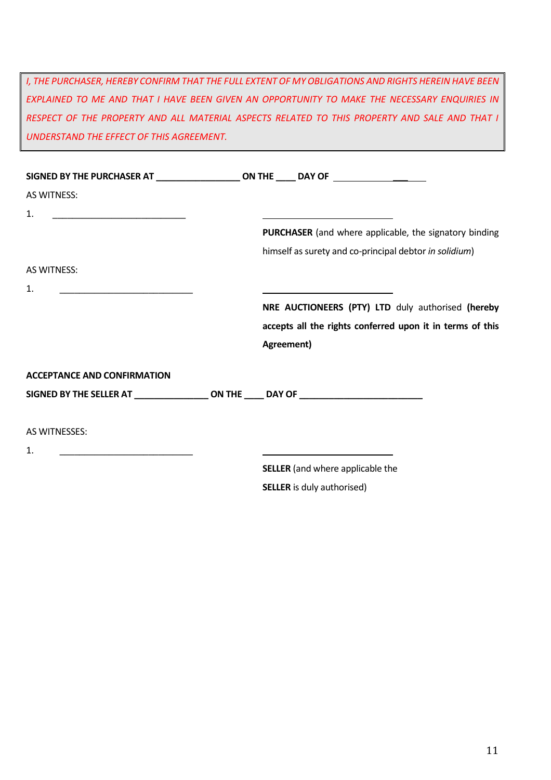*I, THE PURCHASER, HEREBY CONFIRM THAT THE FULL EXTENT OF MY OBLIGATIONS AND RIGHTS HEREIN HAVE BEEN EXPLAINED TO ME AND THAT I HAVE BEEN GIVEN AN OPPORTUNITY TO MAKE THE NECESSARY ENQUIRIES IN RESPECT OF THE PROPERTY AND ALL MATERIAL ASPECTS RELATED TO THIS PROPERTY AND SALE AND THAT I UNDERSTAND THE EFFECT OF THIS AGREEMENT.*

| <b>AS WITNESS:</b>                                                                                                         |                                                                                                                      |
|----------------------------------------------------------------------------------------------------------------------------|----------------------------------------------------------------------------------------------------------------------|
| 1.<br><u> 1980 - Andrea Aonaich, ann an t-Aonaich an t-Aonaich an t-Aonaich an t-Aonaich ann an t-Aonaich ann an t-Aon</u> | <u> Andreas Andreas Andreas Andreas Andreas Andreas Andreas Andreas Andreas Andreas Andreas Andreas Andreas Andr</u> |
|                                                                                                                            | PURCHASER (and where applicable, the signatory binding                                                               |
|                                                                                                                            | himself as surety and co-principal debtor in solidium)                                                               |
| <b>AS WITNESS:</b>                                                                                                         |                                                                                                                      |
| 1.                                                                                                                         |                                                                                                                      |
|                                                                                                                            | NRE AUCTIONEERS (PTY) LTD duly authorised (hereby                                                                    |
|                                                                                                                            | accepts all the rights conferred upon it in terms of this                                                            |
|                                                                                                                            | Agreement)                                                                                                           |
| <b>ACCEPTANCE AND CONFIRMATION</b>                                                                                         |                                                                                                                      |
| SIGNED BY THE SELLER AT __________________ON THE _____ DAY OF __________________                                           |                                                                                                                      |
| AS WITNESSES:                                                                                                              |                                                                                                                      |
| 1.<br><u> 1980 - Andrea Andrews, amerikansk politik (</u>                                                                  | the control of the control of the control of the control of the control of the control of                            |
|                                                                                                                            | <b>SELLER</b> (and where applicable the                                                                              |
|                                                                                                                            | <b>SELLER</b> is duly authorised)                                                                                    |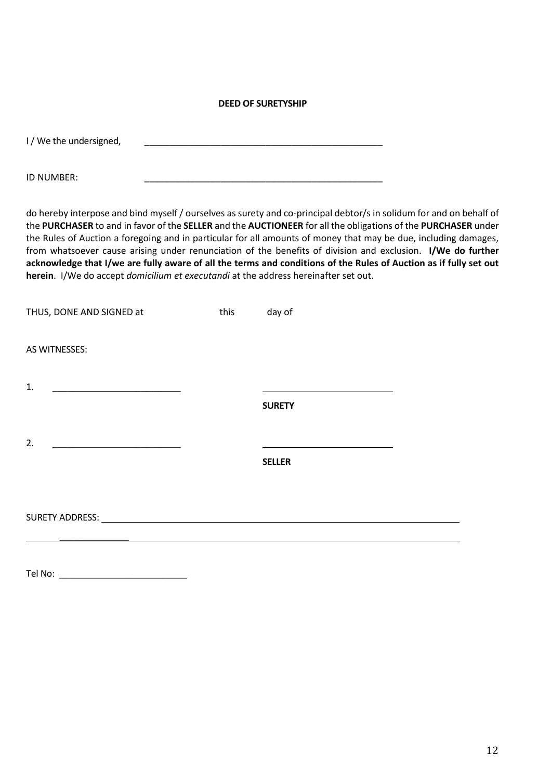### **DEED OF SURETYSHIP**

| I / We the undersigned, |  |
|-------------------------|--|
| ID NUMBER:              |  |

do hereby interpose and bind myself / ourselves as surety and co-principal debtor/s in solidum for and on behalf of the **PURCHASER** to and in favor of the **SELLER** and the **AUCTIONEER** for all the obligations of the **PURCHASER** under the Rules of Auction a foregoing and in particular for all amounts of money that may be due, including damages, from whatsoever cause arising under renunciation of the benefits of division and exclusion. **I/We do further acknowledge that I/we are fully aware of all the terms and conditions of the Rules of Auction as if fully set out herein**. I/We do accept *domicilium et executandi* at the address hereinafter set out.

| THUS, DONE AND SIGNED at                                                                                                  | this | day of        |  |
|---------------------------------------------------------------------------------------------------------------------------|------|---------------|--|
| AS WITNESSES:                                                                                                             |      |               |  |
| 1.<br><u> 1980 - Johann Barn, mars ann an t-Amhain an t-Amhain an t-Amhain an t-Amhain an t-Amhain an t-Amhain an t-A</u> |      | <b>SURETY</b> |  |
| 2.                                                                                                                        |      | <b>SELLER</b> |  |
|                                                                                                                           |      |               |  |
|                                                                                                                           |      |               |  |

Tel No: \_\_\_\_\_\_\_\_\_\_\_\_\_\_\_\_\_\_\_\_\_\_\_\_\_\_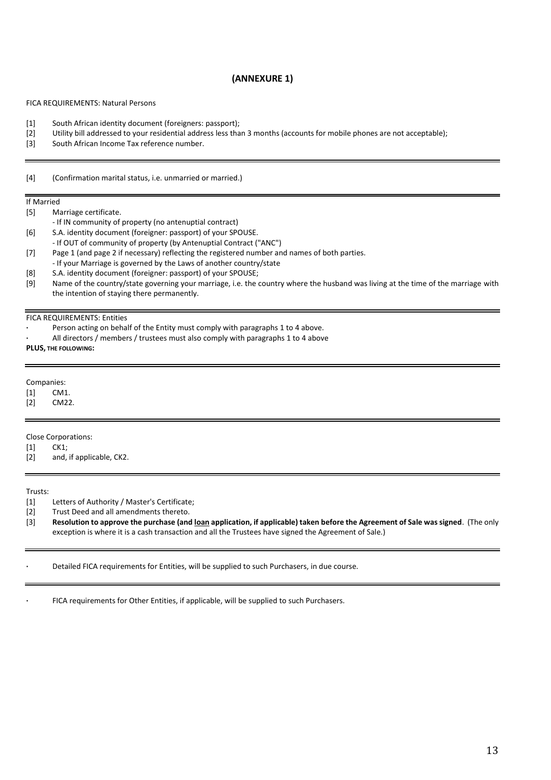## **(ANNEXURE 1)**

### FICA REQUIREMENTS: Natural Persons

- [1] South African identity document (foreigners: passport);
- [2] Utility bill addressed to your residential address less than 3 months (accounts for mobile phones are not acceptable);<br>[3] South African Income Tax reference number.
- South African Income Tax reference number.

[4] (Confirmation marital status, i.e. unmarried or married.)

#### If Married

[5] Marriage certificate.

- If IN community of property (no antenuptial contract)
- [6] S.A. identity document (foreigner: passport) of your SPOUSE.
- If OUT of community of property (by Antenuptial Contract ("ANC")
- [7] Page 1 (and page 2 if necessary) reflecting the registered number and names of both parties.
- If your Marriage is governed by the Laws of another country/state
- [8] S.A. identity document (foreigner: passport) of your SPOUSE;<br>[9] Name of the country/state governing your marriage, i.e. the our-
- Name of the country/state governing your marriage, i.e. the country where the husband was living at the time of the marriage with the intention of staying there permanently.

#### FICA REQUIREMENTS: Entities

- **·** Person acting on behalf of the Entity must comply with paragraphs 1 to 4 above.
- **·** All directors / members / trustees must also comply with paragraphs 1 to 4 above

**PLUS, THE FOLLOWING:**

### Companies:

[1] CM1.

[2] CM22.

### Close Corporations:

[1] CK1;

[2] and, if applicable, CK2.

Trusts:

- [1] Letters of Authority / Master's Certificate;
- [2] Trust Deed and all amendments thereto.
- [3] **Resolution to approve the purchase (and loan application, if applicable) taken before the Agreement of Sale was signed**. (The only exception is where it is a cash transaction and all the Trustees have signed the Agreement of Sale.)
- **·** Detailed FICA requirements for Entities, will be supplied to such Purchasers, in due course.

**·** FICA requirements for Other Entities, if applicable, will be supplied to such Purchasers.